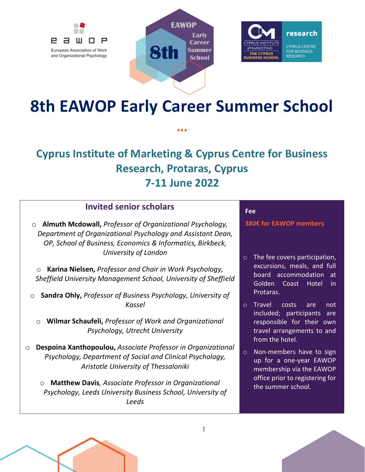





# **8th EAWOP Early Career Summer School**

**…**

# **Cyprus Institute of Marketing & Cyprus Centre for Business Research, Protaras, Cyprus 7-11 June 2022**

### **Invited senior scholars**

o **Almuth Mcdowall,** *Professor of Organizational Psychology, Department of Organizational Psychology and Assistant Dean, OP, School of Business, Economics & Informatics, Birkbeck, University of London*

o **Karina Nielsen,** *Professor and Chair in Work Psychology, Sheffield University Management School, University of Sheffield*

o **Sandra Ohly,** *Professor of Business Psychology, University of Kassel*

o **Wilmar Schaufeli,** *Professor of Work and Organizational Psychology, Utrecht University*

o **Despoina Xanthopoulou,** *Associate Professor in Organizational Psychology, Department of Social and Clinical Psychology, Aristotle University of Thessaloniki*

o **Matthew Davis***, Associate Professor in Organizational Psychology, Leeds University Business School, University of Leeds*

#### **Fee**

**380€ for EAWOP members**

- o The fee covers participation, excursions, meals, and full board accommodation at Golden Coast Hotel in Protaras.
- o Travel costs are not included; participants are responsible for their own travel arrangements to and from the hotel.
- o Non-members have to sign up for a one-year EAWOP membership via the EAWOP office prior to registering for the summer school.